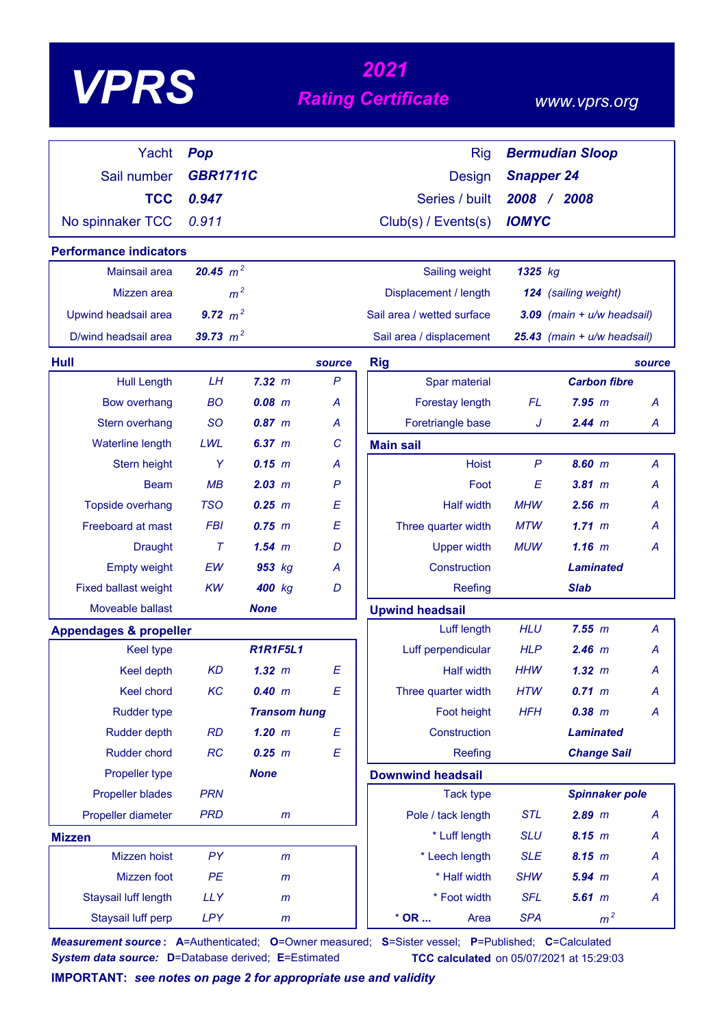| VPD |
|-----|
|-----|

# *2021*<br>**Rating Certificate**

#### *www.vprs.org*

| Yacht                             | Pop             |                     |              | <b>Rig</b>                 |                   | <b>Bermudian Sloop</b>         |                |
|-----------------------------------|-----------------|---------------------|--------------|----------------------------|-------------------|--------------------------------|----------------|
| Sail number                       | <b>GBR1711C</b> |                     |              | <b>Design</b>              | <b>Snapper 24</b> |                                |                |
| <b>TCC</b>                        | 0.947           |                     |              | Series / built             | 2008 / 2008       |                                |                |
| No spinnaker TCC                  | 0.911           |                     |              | Club(s) / Events(s)        | <b>IOMYC</b>      |                                |                |
| <b>Performance indicators</b>     |                 |                     |              |                            |                   |                                |                |
| <b>Mainsail area</b>              | 20.45 $m^2$     |                     |              | Sailing weight             | 1325 kg           |                                |                |
| Mizzen area                       | m <sup>2</sup>  |                     |              | Displacement / length      |                   | 124 (sailing weight)           |                |
| Upwind headsail area              | 9.72 $m^2$      |                     |              | Sail area / wetted surface |                   | $3.09$ (main + $u/w$ headsail) |                |
| D/wind headsail area              | 39.73 $m^2$     |                     |              | Sail area / displacement   |                   | 25.43 (main + u/w headsail)    |                |
| Hull                              |                 |                     | source       | <b>Rig</b>                 |                   |                                | source         |
| <b>Hull Length</b>                | LH              | 7.32 m              | $\mathsf{P}$ | Spar material              |                   | <b>Carbon fibre</b>            |                |
| <b>Bow overhang</b>               | <b>BO</b>       | $0.08$ $m$          | A            | Forestay length            | <b>FL</b>         | 7.95 m                         | A              |
| Stern overhang                    | <b>SO</b>       | 0.87~m              | A            | Foretriangle base          | J                 | 2.44 m                         | A              |
| Waterline length                  | LWL             | 6.37~m              | C            | <b>Main sail</b>           |                   |                                |                |
| Stern height                      | Y               | $0.15$ m            | А            | <b>Hoist</b>               | $\mathsf{P}$      | 8.60 m                         | A              |
| <b>Beam</b>                       | MB              | 2.03 m              | $\mathsf{P}$ | Foot                       | E                 | 3.81 m                         | А              |
| <b>Topside overhang</b>           | <b>TSO</b>      | $0.25$ $m$          | E            | <b>Half width</b>          | <b>MHW</b>        | $2.56$ $m$                     | А              |
| Freeboard at mast                 | <b>FBI</b>      | $0.75$ $m$          | E            | Three quarter width        | <b>MTW</b>        | 1.71~m                         | А              |
| <b>Draught</b>                    | $\tau$          | $1.54$ m            | D            | <b>Upper width</b>         | <b>MUW</b>        | $1.16$ m                       | Α              |
| <b>Empty weight</b>               | EW              | 953 kg              | А            | Construction               |                   | <b>Laminated</b>               |                |
| <b>Fixed ballast weight</b>       | KW              | 400 kg              | D            | Reefing                    |                   | <b>Slab</b>                    |                |
| Moveable ballast                  |                 | <b>None</b>         |              | <b>Upwind headsail</b>     |                   |                                |                |
| <b>Appendages &amp; propeller</b> |                 |                     |              | Luff length                | <b>HLU</b>        | 7.55 m                         | $\overline{A}$ |
| <b>Keel type</b>                  |                 | <b>R1R1F5L1</b>     |              | Luff perpendicular         | <b>HLP</b>        | $2.46$ m                       | A              |
| Keel depth                        | <b>KD</b>       | 1.32~m              | E            | <b>Half width</b>          | <b>HHW</b>        | 1.32~m                         | Α              |
| Keel chord                        | KC              | 0.40 m              | E            | Three quarter width        | <b>HTW</b>        | 0.71 m                         | A              |
| <b>Rudder type</b>                |                 | <b>Transom hung</b> |              | Foot height                | <b>HFH</b>        | $0.38$ $m$                     | Α              |
| Rudder depth                      | RD              | $1.20$ m            | E            | Construction               |                   | <b>Laminated</b>               |                |
| Rudder chord                      | RC              | $0.25$ $m$          | E            | Reefing                    |                   | <b>Change Sail</b>             |                |
| Propeller type                    |                 | <b>None</b>         |              | <b>Downwind headsail</b>   |                   |                                |                |
| <b>Propeller blades</b>           | <b>PRN</b>      |                     |              | <b>Tack type</b>           |                   | <b>Spinnaker pole</b>          |                |
| Propeller diameter                | <b>PRD</b>      | $\mathsf{m}$        |              | Pole / tack length         | <b>STL</b>        | $2.89$ m                       | A              |
| <b>Mizzen</b>                     |                 |                     |              | * Luff length              | <b>SLU</b>        | 8.15 m                         | A              |
| Mizzen hoist                      | PY              | $\mathsf{m}$        |              | * Leech length             | <b>SLE</b>        | 8.15 m                         | A              |
| Mizzen foot                       | PE              | $\mathsf{m}$        |              | * Half width               | <b>SHW</b>        | $5.94$ $m$                     | A              |
| Staysail luff length              | <b>LLY</b>      | $\mathsf{m}$        |              | * Foot width               | <b>SFL</b>        | $5.61$ $m$                     | A              |
| Staysail luff perp                | <b>LPY</b>      | $\mathsf{m}$        |              | $*$ OR<br>Area             | <b>SPA</b>        | m <sup>2</sup>                 |                |

*Measurement source* **: A**=Authenticated; **O**=Owner measured; **S**=Sister vessel; **P**=Published; **C**=Calculated *System data source:* **D**=Database derived; **E**=Estimated **TCC calculated** on 05/07/2021 at 15:29:03

**IMPORTANT:** *see notes on page 2 for appropriate use and validity*